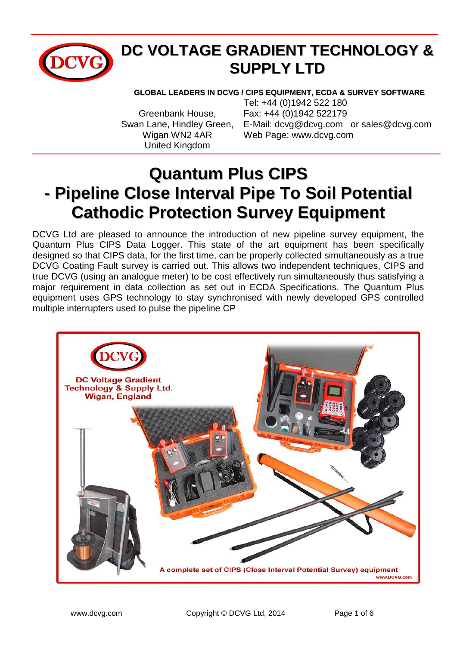

## **DC VOLTAGE GRADIENT TECHNOLOGY & SUPPLY LTD**

**GLOBAL LEADERS IN DCVG / CIPS EQUIPMENT, ECDA & SURVEY SOFTWARE**

United Kingdom

Tel: +44 (0)1942 522 180 Greenbank House, Fax: +44 (0)1942 522179 Swan Lane, Hindley Green, E-Mail: [dcvg@dcvg.com](mailto:dcvg@dcvg.com) or sales@dcvg.com Wigan WN2 4AR Web Page: www.dcvg.com

# **Quantum Plus CIPS - Pipeline Close Interval Pipe To Soil Potential Cathodic Protection Survey Equipment**

DCVG Ltd are pleased to announce the introduction of new pipeline survey equipment, the Quantum Plus CIPS Data Logger. This state of the art equipment has been specifically designed so that CIPS data, for the first time, can be properly collected simultaneously as a true DCVG Coating Fault survey is carried out. This allows two independent techniques, CIPS and true DCVG (using an analogue meter) to be cost effectively run simultaneously thus satisfying a major requirement in data collection as set out in ECDA Specifications. The Quantum Plus equipment uses GPS technology to stay synchronised with newly developed GPS controlled multiple interrupters used to pulse the pipeline CP

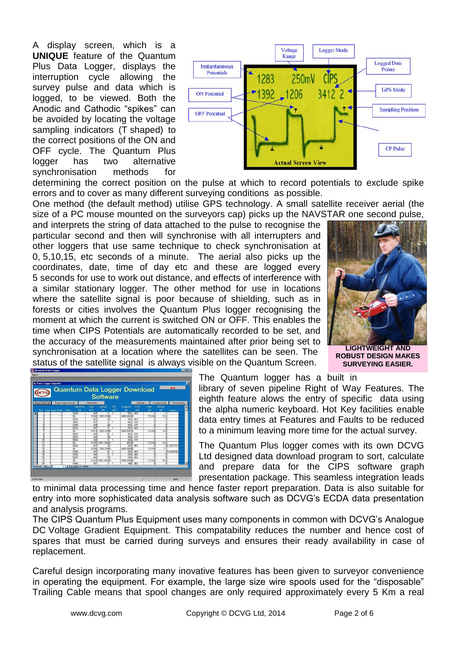A display screen, which is a **UNIQUE** feature of the Quantum Plus Data Logger, displays the interruption cycle allowing the survey pulse and data which is logged, to be viewed. Both the Anodic and Cathodic "spikes" can be avoided by locating the voltage sampling indicators (T shaped) to the correct positions of the ON and OFF cycle. The Quantum Plus logger has two alternative synchronisation methods for



determining the correct position on the pulse at which to record potentials to exclude spike errors and to cover as many different surveying conditions as possible.

One method (the default method) utilise GPS technology. A small satellite receiver aerial (the size of a PC mouse mounted on the surveyors cap) picks up the NAVSTAR one second pulse,

and interprets the string of data attached to the pulse to recognise the particular second and then will synchronise with all interrupters and other loggers that use same technique to check synchronisation at 0, 5,10,15, etc seconds of a minute. The aerial also picks up the coordinates, date, time of day etc and these are logged every 5 seconds for use to work out distance, and effects of interference with a similar stationary logger. The other method for use in locations where the satellite signal is poor because of shielding, such as in forests or cities involves the Quantum Plus logger recognising the moment at which the current is switched ON or OFF. This enables the time when CIPS Potentials are automatically recorded to be set, and the accuracy of the measurements maintained after prior being set to synchronisation at a location where the satellites can be seen. The status of the satellite signal is always visible on the Quantum Screen.

**LIGHTWEIGHT AND ROBUST DESIGN MAKES SURVEYING EASIER.**

| жvс                       |                      |                                                        |                   | <b>Software</b> |     | Quantum Data Logger Download |                 |        |                 |                  |   |
|---------------------------|----------------------|--------------------------------------------------------|-------------------|-----------------|-----|------------------------------|-----------------|--------|-----------------|------------------|---|
| <b>Import Data Set</b>    | Export Data to Excel |                                                        | <b>Clear Data</b> |                 |     |                              | <b>All</b> Data |        | Location Data   | Survey Data      |   |
|                           |                      | <b>Valid/Error</b>                                     | Time              | Latitude        | N/S | Longhude                     | ENI             | Date   | Atitude         |                  | ٠ |
| Rec Type Login Mode Pulse |                      | ON                                                     | OFF               | ON              | OFF | ON                           | OFF             | ON     | OFF             | Feature          |   |
|                           |                      | 1499                                                   | 467               | -11-            |     |                              | $-501 - 469$    | и      | и               |                  |   |
|                           |                      | 1A                                                     | 91909             | 2903 339 N      |     | 4809.0002E                   |                 | 131204 | 15.4            |                  |   |
|                           |                      | 1499                                                   | 467               | $-110$          |     | -501                         | 469             |        |                 |                  |   |
|                           |                      | 1499                                                   | 467               | π               |     | $-501$                       | 470             |        |                 |                  |   |
|                           |                      | 1499                                                   | 468               | nın             |     | $-500-$                      | 470             |        |                 |                  |   |
|                           |                      | 1500                                                   | 467               |                 |     | $-501$                       | 469             |        |                 |                  |   |
|                           |                      | $\overline{\text{16}}$                                 | 91914             | 2903 339 N      |     | 4809.0001E                   |                 | 131204 | 15.8            |                  |   |
|                           |                      | 1500                                                   | 468               |                 |     | -501                         | 470             | и      |                 |                  |   |
|                           |                      | 1500                                                   | 468               | nin             |     | $-500 -$                     | 470             | 7      | 7               |                  |   |
| π                         |                      | 1500                                                   | 468               | и               |     | -500 -                       | 470             |        | и               |                  |   |
| $\overline{11}$           |                      | 1A                                                     | 92106             | 2903.3384N      |     | 4809F                        |                 | 131204 | 16.4            |                  |   |
| 15                        |                      | 1490                                                   | 467               | $\overline{10}$ |     |                              | $-500 - 469$    |        |                 | <b>OSTARTFEN</b> |   |
| τ                         |                      | 1ĪA                                                    | 92208             | 2903.338N       |     | 4808.9988E                   |                 | 131204 | $\overline{21}$ |                  |   |
| 12                        |                      | 1498                                                   | 467               |                 |     | $500 -$                      | 468             |        |                 | -1 CASING90      |   |
| ī                         |                      | 1490                                                   | 466               | 7               |     |                              | $-500 - 468$    |        |                 |                  |   |
| $\overline{16}$           |                      | 1499                                                   | 460               | $-110$          |     |                              | $-500 - 464$    | ā      |                 |                  |   |
| 17                        |                      | 1Ā                                                     | 92229             | 2903.3382M      |     | 4908.9995E                   |                 | 131204 | 20.8            |                  |   |
| Record: 14   4            |                      | 1498<br>$\frac{1}{1}$                       0f   10566 | 451               | ज               |     |                              | $-489 - 453$    |        |                 |                  | ٠ |

The Quantum logger has a built in

library of seven pipeline Right of Way Features. The eighth feature alows the entry of specific data using the alpha numeric keyboard. Hot Key facilities enable data entry times at Features and Faults to be reduced to a minimum leaving more time for the actual survey.

The Quantum Plus logger comes with its own DCVG Ltd designed data download program to sort, calculate and prepare data for the CIPS software graph presentation package. This seamless integration leads

to minimal data processing time and hence faster report preparation. Data is also suitable for entry into more sophisticated data analysis software such as DCVG's ECDA data presentation and analysis programs.

The CIPS Quantum Plus Equipment uses many components in common with DCVG's Analogue DC Voltage Gradient Equipment. This compatability reduces the number and hence cost of spares that must be carried during surveys and ensures their ready availability in case of replacement.

Careful design incorporating many inovative features has been given to surveyor convenience in operating the equipment. For example, the large size wire spools used for the "disposable" Trailing Cable means that spool changes are only required approximately every 5 Km a real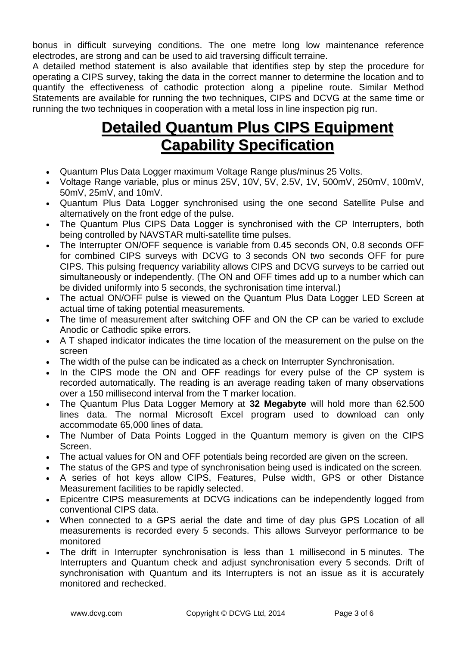bonus in difficult surveying conditions. The one metre long low maintenance reference electrodes, are strong and can be used to aid traversing difficult terraine.

A detailed method statement is also available that identifies step by step the procedure for operating a CIPS survey, taking the data in the correct manner to determine the location and to quantify the effectiveness of cathodic protection along a pipeline route. Similar Method Statements are available for running the two techniques, CIPS and DCVG at the same time or running the two techniques in cooperation with a metal loss in line inspection pig run.

## **Detailed Quantum Plus CIPS Equipment Capability Specification**

- Quantum Plus Data Logger maximum Voltage Range plus/minus 25 Volts.
- Voltage Range variable, plus or minus 25V, 10V, 5V, 2.5V, 1V, 500mV, 250mV, 100mV, 50mV, 25mV, and 10mV.
- Quantum Plus Data Logger synchronised using the one second Satellite Pulse and alternatively on the front edge of the pulse.
- The Quantum Plus CIPS Data Logger is synchronised with the CP Interrupters, both being controlled by NAVSTAR multi-satellite time pulses.
- The Interrupter ON/OFF sequence is variable from 0.45 seconds ON, 0.8 seconds OFF for combined CIPS surveys with DCVG to 3 seconds ON two seconds OFF for pure CIPS. This pulsing frequency variability allows CIPS and DCVG surveys to be carried out simultaneously or independently. (The ON and OFF times add up to a number which can be divided uniformly into 5 seconds, the sychronisation time interval.)
- The actual ON/OFF pulse is viewed on the Quantum Plus Data Logger LED Screen at actual time of taking potential measurements.
- The time of measurement after switching OFF and ON the CP can be varied to exclude Anodic or Cathodic spike errors.
- A T shaped indicator indicates the time location of the measurement on the pulse on the screen
- The width of the pulse can be indicated as a check on Interrupter Synchronisation.
- In the CIPS mode the ON and OFF readings for every pulse of the CP system is recorded automatically. The reading is an average reading taken of many observations over a 150 millisecond interval from the T marker location.
- The Quantum Plus Data Logger Memory at **32 Megabyte** will hold more than 62.500 lines data. The normal Microsoft Excel program used to download can only accommodate 65,000 lines of data.
- The Number of Data Points Logged in the Quantum memory is given on the CIPS Screen.
- The actual values for ON and OFF potentials being recorded are given on the screen.
- The status of the GPS and type of synchronisation being used is indicated on the screen.
- A series of hot keys allow CIPS, Features, Pulse width, GPS or other Distance Measurement facilities to be rapidly selected.
- Epicentre CIPS measurements at DCVG indications can be independently logged from conventional CIPS data.
- When connected to a GPS aerial the date and time of day plus GPS Location of all measurements is recorded every 5 seconds. This allows Surveyor performance to be monitored
- The drift in Interrupter synchronisation is less than 1 millisecond in 5 minutes. The Interrupters and Quantum check and adjust synchronisation every 5 seconds. Drift of synchronisation with Quantum and its Interrupters is not an issue as it is accurately monitored and rechecked.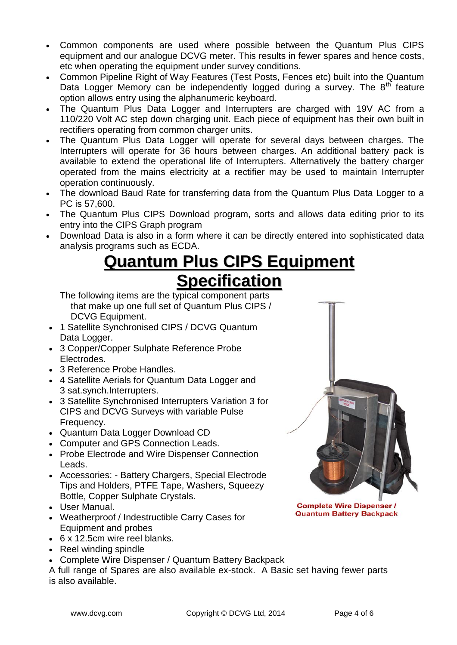- Common components are used where possible between the Quantum Plus CIPS equipment and our analogue DCVG meter. This results in fewer spares and hence costs, etc when operating the equipment under survey conditions.
- Common Pipeline Right of Way Features (Test Posts, Fences etc) built into the Quantum Data Logger Memory can be independently logged during a survey. The  $8<sup>th</sup>$  feature option allows entry using the alphanumeric keyboard.
- The Quantum Plus Data Logger and Interrupters are charged with 19V AC from a 110/220 Volt AC step down charging unit. Each piece of equipment has their own built in rectifiers operating from common charger units.
- The Quantum Plus Data Logger will operate for several days between charges. The Interrupters will operate for 36 hours between charges. An additional battery pack is available to extend the operational life of Interrupters. Alternatively the battery charger operated from the mains electricity at a rectifier may be used to maintain Interrupter operation continuously.
- The download Baud Rate for transferring data from the Quantum Plus Data Logger to a PC is 57,600.
- The Quantum Plus CIPS Download program, sorts and allows data editing prior to its entry into the CIPS Graph program
- Download Data is also in a form where it can be directly entered into sophisticated data analysis programs such as ECDA.

# **Quantum Plus CIPS Equipment Specification**

The following items are the typical component parts that make up one full set of Quantum Plus CIPS / DCVG Equipment.

- 1 Satellite Synchronised CIPS / DCVG Quantum Data Logger.
- 3 Copper/Copper Sulphate Reference Probe Electrodes.
- 3 Reference Probe Handles.
- 4 Satellite Aerials for Quantum Data Logger and 3 sat.synch.Interrupters.
- 3 Satellite Synchronised Interrupters Variation 3 for CIPS and DCVG Surveys with variable Pulse Frequency.
- Quantum Data Logger Download CD
- Computer and GPS Connection Leads.
- Probe Electrode and Wire Dispenser Connection Leads.
- Accessories: Battery Chargers, Special Electrode Tips and Holders, PTFE Tape, Washers, Squeezy Bottle, Copper Sulphate Crystals.
- User Manual.
- Weatherproof / Indestructible Carry Cases for Equipment and probes
- 6 x 12.5cm wire reel blanks.
- Reel winding spindle
- Complete Wire Dispenser / Quantum Battery Backpack

A full range of Spares are also available ex-stock. A Basic set having fewer parts is also available.



**Complete Wire Dispenser / Quantum Battery Backpack**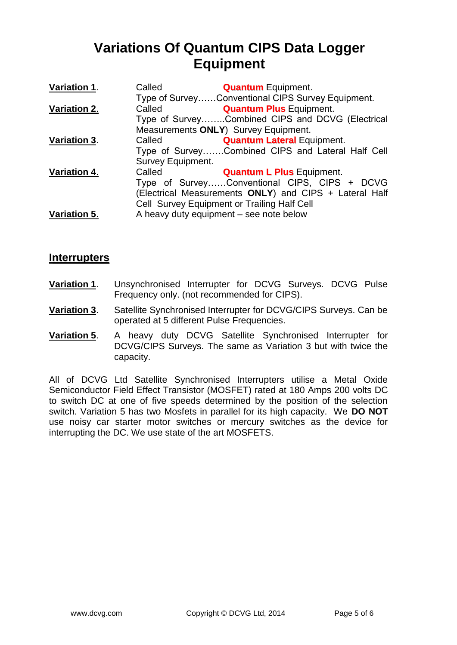### **Variations Of Quantum CIPS Data Logger Equipment**

| Variation 1. | Called                   | <b>Quantum</b> Equipment.                              |
|--------------|--------------------------|--------------------------------------------------------|
|              |                          | Type of SurveyConventional CIPS Survey Equipment.      |
| Variation 2. | Called                   | <b>Quantum Plus Equipment.</b>                         |
|              |                          | Type of SurveyCombined CIPS and DCVG (Electrical       |
|              |                          | Measurements ONLY) Survey Equipment.                   |
| Variation 3. | Called                   | <b>Quantum Lateral Equipment.</b>                      |
|              |                          | Type of SurveyCombined CIPS and Lateral Half Cell      |
|              | <b>Survey Equipment.</b> |                                                        |
| Variation 4. | Called                   | <b>Quantum L Plus Equipment.</b>                       |
|              |                          | Type of SurveyConventional CIPS, CIPS + DCVG           |
|              |                          | (Electrical Measurements ONLY) and CIPS + Lateral Half |
|              |                          | Cell Survey Equipment or Trailing Half Cell            |
| Variation 5. |                          | A heavy duty equipment - see note below                |

#### **Interrupters**

- **Variation 1**. Unsynchronised Interrupter for DCVG Surveys. DCVG Pulse Frequency only. (not recommended for CIPS).
- **Variation 3**. Satellite Synchronised Interrupter for DCVG/CIPS Surveys. Can be operated at 5 different Pulse Frequencies.
- **Variation 5**. A heavy duty DCVG Satellite Synchronised Interrupter for DCVG/CIPS Surveys. The same as Variation 3 but with twice the capacity.

All of DCVG Ltd Satellite Synchronised Interrupters utilise a Metal Oxide Semiconductor Field Effect Transistor (MOSFET) rated at 180 Amps 200 volts DC to switch DC at one of five speeds determined by the position of the selection switch. Variation 5 has two Mosfets in parallel for its high capacity. We **DO NOT** use noisy car starter motor switches or mercury switches as the device for interrupting the DC. We use state of the art MOSFETS.